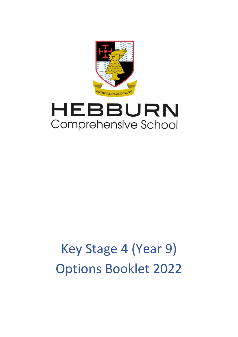

# HEBBURN Comprehensive School

# Key Stage 4 (Year 9) Options Booklet 2022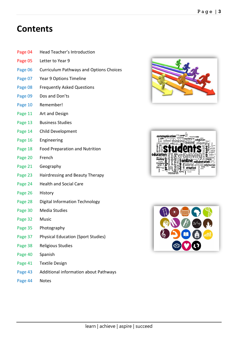## **Contents**

- Page 04 Head Teacher's Introduction
- Page 05 Letter to Year 9
- Page 06 Curriculum Pathways and Options Choices
- Page 07 Year 9 Options Timeline
- Page 08 Frequently Asked Questions
- Page 09 Dos and Don'ts
- Page 10 Remember!
- Page 11 Art and Design
- Page 13 Business Studies
- Page 14 Child Development
- Page 16 Engineering
- Page 18 Food Preparation and Nutrition
- Page 20 French
- Page 21 Geography
- Page 23 Hairdressing and Beauty Therapy
- Page 24 Health and Social Care
- Page 26 History
- Page 28 Digital Information Technology
- Page 30 Media Studies
- Page 32 Music
- Page 35 Photography
- Page 37 Physical Education (Sport Studies)
- Page 38 Religious Studies
- Page 40 Spanish
- Page 41 Textile Design
- Page 43 Additional information about Pathways
- Page 44 Notes





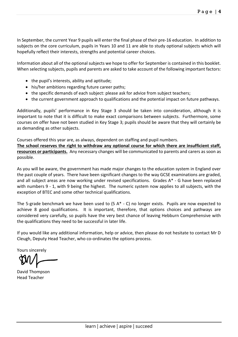In September, the current Year 9 pupils will enter the final phase of their pre-16 education. In addition to subjects on the core curriculum, pupils in Years 10 and 11 are able to study optional subjects which will hopefully reflect their interests, strengths and potential career choices.

Information about all of the optional subjects we hope to offer for September is contained in this booklet. When selecting subjects, pupils and parents are asked to take account of the following important factors:

- the pupil's interests, ability and aptitude;
- his/her ambitions regarding future career paths;
- the specific demands of each subject: please ask for advice from subject teachers;
- the current government approach to qualifications and the potential impact on future pathways.

Additionally, pupils' performance in Key Stage 3 should be taken into consideration, although it is important to note that it is difficult to make exact comparisons between subjects. Furthermore, some courses on offer have not been studied in Key Stage 3; pupils should be aware that they will certainly be as demanding as other subjects.

Courses offered this year are, as always, dependent on staffing and pupil numbers. **The school reserves the right to withdraw any optional course for which there are insufficient staff, resources or participants.** Any necessary changes will be communicated to parents and carers as soon as possible.

As you will be aware, the government has made major changes to the education system in England over the past couple of years. There have been significant changes to the way GCSE examinations are graded, and all subject areas are now working under revised specifications. Grades A\* - G have been replaced with numbers 9 - 1, with 9 being the highest. The numeric system now applies to all subjects, with the exception of BTEC and some other technical qualifications.

The 5-grade benchmark we have been used to (5 A\* - C) no longer exists. Pupils are now expected to achieve 8 good qualifications. It is important, therefore, that options choices and pathways are considered very carefully, so pupils have the very best chance of leaving Hebburn Comprehensive with the qualifications they need to be successful in later life.

If you would like any additional information, help or advice, then please do not hesitate to contact Mr D Cleugh, Deputy Head Teacher, who co-ordinates the options process.

Yours sincerely

David Thompson Head Teacher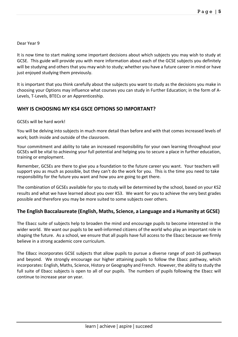#### Dear Year 9

It is now time to start making some important decisions about which subjects you may wish to study at GCSE. This guide will provide you with more information about each of the GCSE subjects you definitely will be studying and others that you may wish to study; whether you have a future career in mind or have just enjoyed studying them previously.

It is important that you think carefully about the subjects you want to study as the decisions you make in choosing your Options may influence what courses you can study in Further Education; in the form of A-Levels, T-Levels, BTECs or an Apprenticeship.

#### **WHY IS CHOOSING MY KS4 GSCE OPTIONS SO IMPORTANT?**

#### GCSEs will be hard work!

You will be delving into subjects in much more detail than before and with that comes increased levels of work; both inside and outside of the classroom.

Your commitment and ability to take an increased responsibility for your own learning throughout your GCSEs will be vital to achieving your full potential and helping you to secure a place in further education, training or employment.

Remember, GCSEs are there to give you a foundation to the future career you want. Your teachers will support you as much as possible, but they can't do the work for you. This is the time you need to take responsibility for the future you want and how you are going to get there.

The combination of GCSEs available for you to study will be determined by the school, based on your KS2 results and what we have learned about you over KS3. We want for you to achieve the very best grades possible and therefore you may be more suited to some subjects over others.

#### **The English Baccalaureate (English, Maths, Science, a Language and a Humanity at GCSE)**

The Ebacc suite of subjects help to broaden the mind and encourage pupils to become interested in the wider world. We want our pupils to be well-informed citizens of the world who play an important role in shaping the future. As a school, we ensure that all pupils have full access to the Ebacc because we firmly believe in a strong academic core curriculum.

The EBacc incorporates GCSE subjects that allow pupils to pursue a diverse range of post-16 pathways and beyond. We strongly encourage our higher attaining pupils to follow the Ebacc pathway, which incorporates: English, Maths, Science, History or Geography and French. However, the ability to study the full suite of Ebacc subjects is open to all of our pupils. The numbers of pupils following the Ebacc will continue to increase year on year.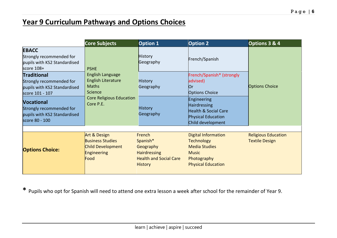## **Year 9 Curriculum Pathways and Options Choices**

|                                                                                                   | <b>Core Subjects</b>                                                                | <b>Option 1</b>                                                                                           | <b>Option 2</b>                                                                                                                     | Options 3 & 4                                       |
|---------------------------------------------------------------------------------------------------|-------------------------------------------------------------------------------------|-----------------------------------------------------------------------------------------------------------|-------------------------------------------------------------------------------------------------------------------------------------|-----------------------------------------------------|
| <b>EBACC</b><br>Strongly recommended for<br>pupils with KS2 Standardised<br>score 108+            | <b>PSHE</b>                                                                         | <b>History</b><br>Geography                                                                               | French/Spanish                                                                                                                      |                                                     |
| <b>Traditional</b><br>Strongly recommended for<br>pupils with KS2 Standardised<br>score 101 - 107 | <b>English Language</b><br><b>English Literature</b><br><b>Maths</b><br>Science     | <b>History</b><br>Geography                                                                               | French/Spanish* (strongly<br>advised)<br>Юr<br><b>Options Choice</b>                                                                | <b>Options Choice</b>                               |
| <b>Vocational</b><br>Strongly recommended for<br>pupils with KS2 Standardised<br>score 80 - 100   | <b>Core Religious Education</b><br>Core P.E.                                        | <b>History</b><br>Geography                                                                               | Engineering<br><b>Hairdressing</b><br><b>Health &amp; Social Care</b><br><b>Physical Education</b><br>Child development             |                                                     |
| <b>Options Choice:</b>                                                                            | Art & Design<br><b>Business Studies</b><br>Child Development<br>Engineering<br>Food | French<br>Spanish*<br>Geography<br><b>Hairdressing</b><br><b>Health and Social Care</b><br><b>History</b> | <b>Digital Information</b><br><b>Technology</b><br><b>Media Studies</b><br><b>Music</b><br>Photography<br><b>Physical Education</b> | <b>Religious Education</b><br><b>Textile Design</b> |

**\*** Pupils who opt for Spanish will need to attend one extra lesson a week after school for the remainder of Year 9.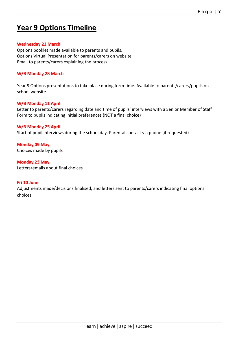## **Year 9 Options Timeline**

#### **Wednesday 23 March**

Options booklet made available to parents and pupils. Options Virtual Presentation for parents/carers on website Email to parents/carers explaining the process

#### **W/B Monday 28 March**

Year 9 Options presentations to take place during form time. Available to parents/carers/pupils on school website

#### **W/B Monday 11 April**

Letter to parents/carers regarding date and time of pupils' interviews with a Senior Member of Staff Form to pupils indicating initial preferences (NOT a final choice)

#### **W/B Monday 25 April**

Start of pupil interviews during the school day. Parental contact via phone (if requested)

**Monday 09 May** Choices made by pupils

**Monday 23 May** Letters/emails about final choices

#### **Fri 10 June**

Adjustments made/decisions finalised, and letters sent to parents/carers indicating final options choices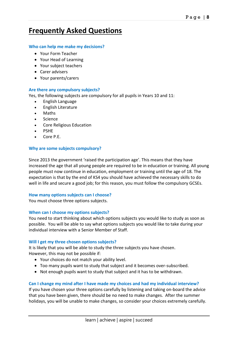## **Frequently Asked Questions**

#### **Who can help me make my decisions?**

- Your Form Teacher
- Your Head of Learning
- Your subject teachers
- Carer advisers
- Your parents/carers

#### **Are there any compulsory subjects?**

Yes, the following subjects are compulsory for all pupils in Years 10 and 11:

- English Language
- English Literature
- Maths
- **Science**
- Core Religious Education
- PSHE
- Core P.E.

#### **Why are some subjects compulsory?**

Since 2013 the government 'raised the participation age'. This means that they have increased the age that all young people are required to be in education or training. All young people must now continue in education, employment or training until the age of 18. The expectation is that by the end of KS4 you should have achieved the necessary skills to do well in life and secure a good job; for this reason, you must follow the compulsory GCSEs.

#### **How many options subjects can I choose?**

You must choose three options subjects.

#### **When can I choose my options subjects?**

You need to start thinking about which options subjects you would like to study as soon as possible. You will be able to say what options subjects you would like to take during your individual interview with a Senior Member of Staff.

#### **Will I get my three chosen options subjects?**

It is likely that you will be able to study the three subjects you have chosen. However, this may not be possible if:

- Your choices do not match your ability level.
- Too many pupils want to study that subject and it becomes over-subscribed.
- Not enough pupils want to study that subject and it has to be withdrawn.

#### **Can I change my mind after I have made my choices and had my individual interview?**

If you have chosen your three options carefully by listening and taking on-board the advice that you have been given, there should be no need to make changes. After the summer holidays, you will be unable to make changes, so consider your choices extremely carefully.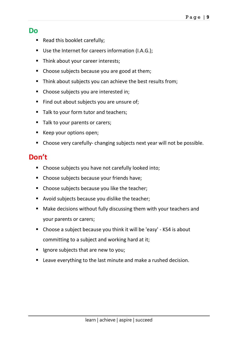### **Do**

- Read this booklet carefully;
- Use the Internet for careers information (I.A.G.);
- Think about your career interests;
- Choose subjects because you are good at them;
- Think about subjects you can achieve the best results from;
- Choose subjects you are interested in;
- Find out about subjects you are unsure of;
- Talk to your form tutor and teachers;
- Talk to your parents or carers;
- Keep your options open;
- Choose very carefully- changing subjects next year will not be possible.

## **Don't**

- Choose subjects you have not carefully looked into;
- Choose subjects because your friends have;
- Choose subjects because you like the teacher;
- Avoid subjects because you dislike the teacher;
- Make decisions without fully discussing them with your teachers and your parents or carers;
- Choose a subject because you think it will be 'easy' KS4 is about committing to a subject and working hard at it;
- Ignore subjects that are new to you;
- Leave everything to the last minute and make a rushed decision.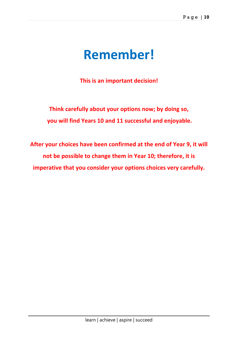## **Remember!**

**This is an important decision!**

**Think carefully about your options now; by doing so, you will find Years 10 and 11 successful and enjoyable.**

**After your choices have been confirmed at the end of Year 9, it will not be possible to change them in Year 10; therefore, it is imperative that you consider your options choices very carefully.**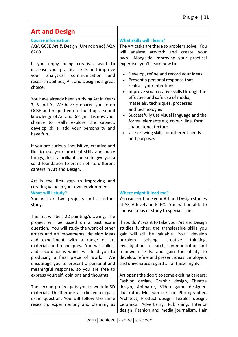| <b>Art and Design</b>                                                                                                                                                                                                                                                                                                                                                                                                                                                                                                                                                                                                                                                                                                                                              |                                                                                                                                                                                                                                                                                                                                                                                                                                                                                                                                                                                                                             |
|--------------------------------------------------------------------------------------------------------------------------------------------------------------------------------------------------------------------------------------------------------------------------------------------------------------------------------------------------------------------------------------------------------------------------------------------------------------------------------------------------------------------------------------------------------------------------------------------------------------------------------------------------------------------------------------------------------------------------------------------------------------------|-----------------------------------------------------------------------------------------------------------------------------------------------------------------------------------------------------------------------------------------------------------------------------------------------------------------------------------------------------------------------------------------------------------------------------------------------------------------------------------------------------------------------------------------------------------------------------------------------------------------------------|
| <b>Course information</b><br>AQA GCSE Art & Design (Unendorsed) AQA<br>8200<br>If you enjoy being creative, want to<br>increase your practical skills and improve<br>communication<br>analytical<br>your<br>and<br>research abilities, Art and Design is a great<br>choice.<br>You have already been studying Art in Years<br>7, 8 and 9. We have prepared you to do<br>GCSE and helped you to build up a sound<br>knowledge of Art and Design. It is now your<br>chance to really explore the subject,<br>develop skills, add your personality and<br>have fun.<br>If you are curious, inquisitive, creative and<br>like to use your practical skills and make<br>things, this is a brilliant course to give you a<br>solid foundation to branch off to different | What skills will I learn?<br>The Art tasks are there to problem solve. You<br>will analyse artwork and create your<br>own. Alongside improving your practical<br>expertise, you'll learn how to:<br>Develop, refine and record your ideas<br>Present a personal response that<br>realises your intentions<br>Improve your creative skills through the<br>effective and safe use of media,<br>materials, techniques, processes<br>and technologies<br>Successfully use visual language and the<br>formal elements e.g. colour, line, form,<br>shape, tone, texture<br>Use drawing skills for different needs<br>and purposes |
| careers in Art and Design.<br>Art is the first step to improving and<br>creating value in your own environment.                                                                                                                                                                                                                                                                                                                                                                                                                                                                                                                                                                                                                                                    |                                                                                                                                                                                                                                                                                                                                                                                                                                                                                                                                                                                                                             |
| What will I study?<br>You will do two projects and a further<br>study.                                                                                                                                                                                                                                                                                                                                                                                                                                                                                                                                                                                                                                                                                             | Where might it lead me?<br>You can continue your Art and Design studies<br>at AS, A-level and BTEC. You will be able to<br>choose areas of study to specialise in.                                                                                                                                                                                                                                                                                                                                                                                                                                                          |
| The first will be a 2D painting/drawing. The<br>project will be based on a past exam<br>question. You will study the work of other<br>artists and art movements, develop ideas<br>and experiment with a range of art<br>materials and techniques. You will collect<br>and record ideas which will lead you to<br>producing a final piece of work. We<br>encourage you to present a personal and<br>meaningful response, so you are free to<br>express yourself, opinions and thoughts.<br>The second project gets you to work in 3D<br>materials. The theme is also linked to a past                                                                                                                                                                               | If you don't want to take your Art and Design<br>studies further, the transferable skills you<br>gain will still be valuable. You'll develop<br>problem<br>solving,<br>creative<br>thinking,<br>investigation, research, communication and<br>teamwork skills, and gain the ability to<br>develop, refine and present ideas. Employers<br>and universities regard all of these highly.<br>Art opens the doors to some exciting careers:<br>Fashion design, Graphic design, Theatre<br>design, Animator, Video game designer,<br>Illustrator, Museum curator, Photographer,                                                  |
| exam question. You will follow the same<br>research, experimenting and planning as                                                                                                                                                                                                                                                                                                                                                                                                                                                                                                                                                                                                                                                                                 | Architect, Product design, Textiles design,<br>Ceramics, Advertising, Publishing, Interior<br>design, Fashion and media journalism, Hair                                                                                                                                                                                                                                                                                                                                                                                                                                                                                    |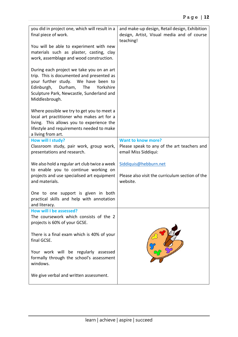| you did in project one, which will result in a<br>final piece of work.<br>You will be able to experiment with new<br>materials such as plaster, casting, clay<br>work, assemblage and wood construction.                                  | and make-up design, Retail design, Exhibition<br>design, Artist, Visual media and of course<br>teaching! |
|-------------------------------------------------------------------------------------------------------------------------------------------------------------------------------------------------------------------------------------------|----------------------------------------------------------------------------------------------------------|
| During each project we take you on an art<br>trip. This is documented and presented as<br>your further study. We have been to<br>Edinburgh,<br>Durham,<br>The<br>Yorkshire<br>Sculpture Park, Newcastle, Sunderland and<br>Middlesbrough. |                                                                                                          |
| Where possible we try to get you to meet a<br>local art practitioner who makes art for a<br>living. This allows you to experience the<br>lifestyle and requirements needed to make<br>a living from art.                                  |                                                                                                          |
| How will I study?<br>Classroom study, pair work, group work,<br>presentations and research.                                                                                                                                               | <b>Want to know more?</b><br>Please speak to any of the art teachers and<br>email Miss Siddiqui:         |
| We also hold a regular art club twice a week                                                                                                                                                                                              | Siddiquis@hebburn.net                                                                                    |
| to enable you to continue working on<br>projects and use specialised art equipment<br>and materials.                                                                                                                                      | Please also visit the curriculum section of the<br>website.                                              |
| One to one support is given in both<br>practical skills and help with annotation<br>and literacy.                                                                                                                                         |                                                                                                          |
| How will I be assessed?<br>The coursework which consists of the 2<br>projects is 60% of your GCSE.                                                                                                                                        |                                                                                                          |
| There is a final exam which is 40% of your<br>final GCSE.                                                                                                                                                                                 |                                                                                                          |
| Your work will be regularly assessed<br>formally through the school's assessment<br>windows.                                                                                                                                              |                                                                                                          |
| We give verbal and written assessment.                                                                                                                                                                                                    |                                                                                                          |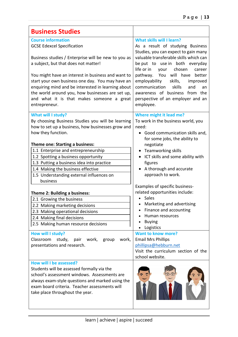| <b>Business Studies</b>                                                                                                                                                                                                                                                                                                                                                                           |                                                                                                                                                                                                                                                                                                                                                                 |
|---------------------------------------------------------------------------------------------------------------------------------------------------------------------------------------------------------------------------------------------------------------------------------------------------------------------------------------------------------------------------------------------------|-----------------------------------------------------------------------------------------------------------------------------------------------------------------------------------------------------------------------------------------------------------------------------------------------------------------------------------------------------------------|
| <b>Course information</b>                                                                                                                                                                                                                                                                                                                                                                         | What skills will I learn?                                                                                                                                                                                                                                                                                                                                       |
| <b>GCSE Edexcel Specification</b>                                                                                                                                                                                                                                                                                                                                                                 | As a result of studying Business                                                                                                                                                                                                                                                                                                                                |
| Business studies / Enterprise will be new to you as<br>a subject, but that does not matter!<br>You might have an interest in business and want to<br>start your own business one day. You may have an<br>enquiring mind and be interested in learning about<br>the world around you, how businesses are set up,<br>and what it is that makes someone a great<br>entrepreneur.                     | Studies, you can expect to gain many<br>valuable transferable skills which can<br>be put to use in both everyday<br>life or in<br>your chosen<br>career<br>pathway. You will have<br>better<br>employability<br>skills,<br>improved<br>communication<br>skills<br>and<br>an<br>awareness of business from the<br>perspective of an employer and an<br>employee. |
|                                                                                                                                                                                                                                                                                                                                                                                                   |                                                                                                                                                                                                                                                                                                                                                                 |
| What will I study?<br>By choosing Business Studies you will be learning<br>how to set up a business, how businesses grow and<br>how they function.<br>Theme one: Starting a business:<br>1.1 Enterprise and entrepreneurship<br>1.2 Spotting a business opportunity<br>1.3 Putting a business idea into practice<br>1.4 Making the business effective<br>1.5 Understanding external influences on | Where might it lead me?<br>To work in the business world, you<br>need:<br>Good communication skills and,<br>for some jobs, the ability to<br>negotiate<br>Teamworking skills<br>ICT skills and some ability with<br>figures<br>A thorough and accurate<br>approach to work.                                                                                     |
| business                                                                                                                                                                                                                                                                                                                                                                                          | Examples of specific business-                                                                                                                                                                                                                                                                                                                                  |
| Theme 2: Building a business:                                                                                                                                                                                                                                                                                                                                                                     | related opportunities include:                                                                                                                                                                                                                                                                                                                                  |
| 2.1 Growing the business                                                                                                                                                                                                                                                                                                                                                                          | Sales                                                                                                                                                                                                                                                                                                                                                           |
| 2.2 Making marketing decisions                                                                                                                                                                                                                                                                                                                                                                    | Marketing and advertising                                                                                                                                                                                                                                                                                                                                       |
| 2.3 Making operational decisions                                                                                                                                                                                                                                                                                                                                                                  | Finance and accounting                                                                                                                                                                                                                                                                                                                                          |
| 2.4 Making final decisions                                                                                                                                                                                                                                                                                                                                                                        | Human resources                                                                                                                                                                                                                                                                                                                                                 |
| 2.5 Making human resource decisions                                                                                                                                                                                                                                                                                                                                                               | <b>Buying</b><br>Logistics                                                                                                                                                                                                                                                                                                                                      |
| How will I study?<br>Classroom<br>study, pair work, group<br>work,<br>presentations and research.                                                                                                                                                                                                                                                                                                 | <b>Want to know more?</b><br><b>Email Mrs Phillips</b><br>phillipsa@hebburn.net<br>Visit the curriculum section of the<br>school website.                                                                                                                                                                                                                       |
| How will I be assessed?                                                                                                                                                                                                                                                                                                                                                                           |                                                                                                                                                                                                                                                                                                                                                                 |
| Students will be assessed formally via the<br>school's assessment windows. Assessments are<br>always exam-style questions and marked using the<br>exam board criteria. Teacher assessments will<br>take place throughout the year.                                                                                                                                                                |                                                                                                                                                                                                                                                                                                                                                                 |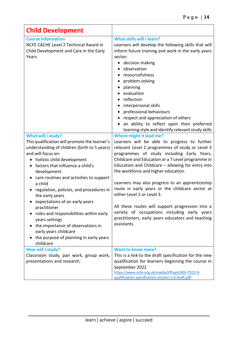| <b>Child Development</b>                                                                                                                                                                                                                                                                                                                                                                                                                                                                                                                                                                               |                                                                                                                                                                                                                                                                                                                                                                                                                                                                                                                                                                                                                                       |
|--------------------------------------------------------------------------------------------------------------------------------------------------------------------------------------------------------------------------------------------------------------------------------------------------------------------------------------------------------------------------------------------------------------------------------------------------------------------------------------------------------------------------------------------------------------------------------------------------------|---------------------------------------------------------------------------------------------------------------------------------------------------------------------------------------------------------------------------------------------------------------------------------------------------------------------------------------------------------------------------------------------------------------------------------------------------------------------------------------------------------------------------------------------------------------------------------------------------------------------------------------|
| <b>Course information</b><br>NCFE CACHE Level 2 Technical Award in<br>Child Development and Care in the Early<br>Years                                                                                                                                                                                                                                                                                                                                                                                                                                                                                 | <b>What skills will I learn?</b><br>Learners will develop the following skills that will<br>inform future training and work in the early years<br>sector:<br>• decision making<br>observation<br>resourcefulness<br>problem solving<br>planning<br>evaluation<br>reflection<br>interpersonal skills<br>$\bullet$<br>professional behaviours<br>respect and appreciation of others<br>an ability to reflect upon their preferred<br>$\bullet$<br>learning style and identify relevant study skills                                                                                                                                     |
| <b>What will I study?</b><br>This qualification will promote the learner's<br>understanding of children (birth to 5 years)<br>and will focus on:<br>holistic child development<br>factors that influence a child's<br>development<br>care routines and activities to support<br>a child<br>regulation, policies, and procedures in<br>the early years<br>expectations of an early years<br>practitioner<br>roles and responsibilities within early<br>years settings<br>the importance of observations in<br>early years childcare<br>the purpose of planning in early years<br>$\bullet$<br>childcare | Where might it lead me?<br>Learners will be able to progress to further<br>relevant Level 2 programmes of study or Level 3<br>programmes of study including Early Years,<br>Childcare and Education or a T Level programme in<br>Education and Childcare - allowing for entry into<br>the workforce and higher education.<br>Learners may also progress to an apprenticeship<br>route in early years or the childcare sector at<br>either Level 2 or Level 3.<br>All these routes will support progression into a<br>variety of occupations including early years<br>practitioners, early years educators and teaching<br>assistants. |
| How will I study?<br>Classroom study, pair work, group work,<br>presentations and research.                                                                                                                                                                                                                                                                                                                                                                                                                                                                                                            | <b>Want to know more?</b><br>This is a link to the draft specification for the new<br>qualification for learners beginning the course in<br>September 2022<br>https://www.ncfe.org.uk/media/tlffyqit/603-7012-9-<br>qualification-specification-version-1-0-draft.pdf                                                                                                                                                                                                                                                                                                                                                                 |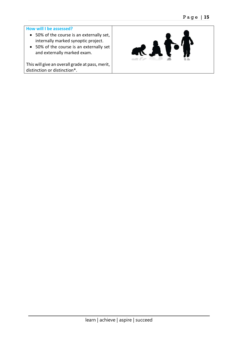#### **How will I be assessed?**

- 50% of the course is an externally set, internally marked synoptic project.
- 50% of the course is an externally set and externally marked exam.

This will give an overall grade at pass, merit, distinction or distinction\*.

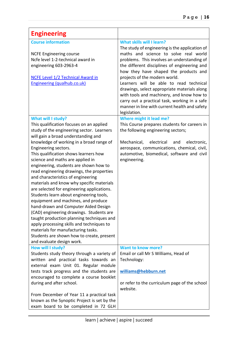| <b>Engineering</b>                                                                                                                                                                                                                                                                                                                                                                                                                                                                                                                                                                                                                                                                                                                                                                                                                                                                                          |                                                                                                                                                                                                                                                                                                                                                                                                                                                                                                                                                                |
|-------------------------------------------------------------------------------------------------------------------------------------------------------------------------------------------------------------------------------------------------------------------------------------------------------------------------------------------------------------------------------------------------------------------------------------------------------------------------------------------------------------------------------------------------------------------------------------------------------------------------------------------------------------------------------------------------------------------------------------------------------------------------------------------------------------------------------------------------------------------------------------------------------------|----------------------------------------------------------------------------------------------------------------------------------------------------------------------------------------------------------------------------------------------------------------------------------------------------------------------------------------------------------------------------------------------------------------------------------------------------------------------------------------------------------------------------------------------------------------|
| <b>Course information</b><br><b>NCFE Engineering course</b><br>Ncfe level 1-2-technical award in<br>engineering 603-2963-4<br><b>NCFE Level 1/2 Technical Award in</b><br>Engineering (qualhub.co.uk)                                                                                                                                                                                                                                                                                                                                                                                                                                                                                                                                                                                                                                                                                                       | <b>What skills will I learn?</b><br>The study of engineering is the application of<br>maths and science to solve real world<br>problems. This involves an understanding of<br>the different disciplines of engineering and<br>how they have shaped the products and<br>projects of the modern world.<br>Learners will be able to read technical<br>drawings, select appropriate materials along<br>with tools and machinery, and know how to<br>carry out a practical task, working in a safe<br>manner in line with current health and safety<br>legislation. |
| What will I study?<br>This qualification focuses on an applied<br>study of the engineering sector. Learners<br>will gain a broad understanding and<br>knowledge of working in a broad range of<br>Engineering sectors.<br>This qualification shows learners how<br>science and maths are applied in<br>engineering, students are shown how to<br>read engineering drawings, the properties<br>and characteristics of engineering<br>materials and know why specific materials<br>are selected for engineering applications.<br>Students learn about engineering tools,<br>equipment and machines, and produce<br>hand-drawn and Computer Aided Design<br>(CAD) engineering drawings. Students are<br>taught production planning techniques and<br>apply processing skills and techniques to<br>materials for manufacturing tasks.<br>Students are shown how to create, present<br>and evaluate design work. | Where might it lead me?<br>This Course prepares students for careers in<br>the following engineering sectors;<br>Mechanical,<br>electrical<br>electronic,<br>and<br>aerospace, communications, chemical, civil,<br>automotive, biomedical, software and civil<br>engineering.                                                                                                                                                                                                                                                                                  |
| How will I study?<br>Students study theory through a variety of<br>written and practical tasks towards an<br>external exam Unit 01. Regular module<br>tests track progress and the students are<br>encouraged to complete a course booklet<br>during and after school.<br>From December of Year 11 a practical task<br>known as the Synoptic Project is set by the<br>exam board to be completed in 72 GLH                                                                                                                                                                                                                                                                                                                                                                                                                                                                                                  | <b>Want to know more?</b><br>Email or call Mr S Williams, Head of<br>Technology:<br>williams@hebburn.net<br>or refer to the curriculum page of the school<br>website.                                                                                                                                                                                                                                                                                                                                                                                          |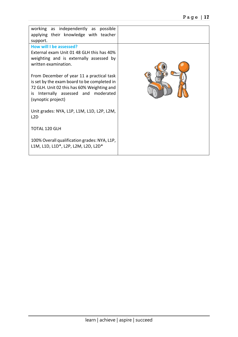| working as independently as possible<br>applying their knowledge with teacher<br>support.                                                                                                               |  |
|---------------------------------------------------------------------------------------------------------------------------------------------------------------------------------------------------------|--|
| How will I be assessed?<br>External exam Unit 01 48 GLH this has 40%<br>weighting and is externally assessed by                                                                                         |  |
| written examination.                                                                                                                                                                                    |  |
| From December of year 11 a practical task<br>is set by the exam board to be completed in<br>72 GLH. Unit 02 this has 60% Weighting and<br>Internally assessed and moderated<br>is<br>(synoptic project) |  |
| Unit grades: NYA, L1P, L1M, L1D, L2P, L2M,<br>L <sub>2</sub> D                                                                                                                                          |  |
| <b>TOTAL 120 GLH</b>                                                                                                                                                                                    |  |
| 100% Overall qualification grades: NYA, L1P,<br>L1M, L1D, L1D*, L2P, L2M, L2D, L2D*                                                                                                                     |  |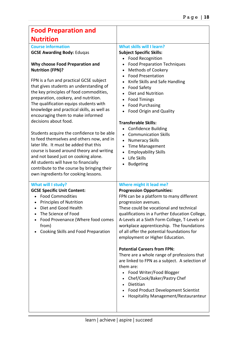| <b>Food Preparation and</b>                                                                                                                                                                                                                                                                                                                                                                                                                                                                                                                                                                                                                                                                                                                                                                                          |                                                                                                                                                                                                                                                                                                                                                                                                                                                                                                                                                                                                                                                                                                                       |
|----------------------------------------------------------------------------------------------------------------------------------------------------------------------------------------------------------------------------------------------------------------------------------------------------------------------------------------------------------------------------------------------------------------------------------------------------------------------------------------------------------------------------------------------------------------------------------------------------------------------------------------------------------------------------------------------------------------------------------------------------------------------------------------------------------------------|-----------------------------------------------------------------------------------------------------------------------------------------------------------------------------------------------------------------------------------------------------------------------------------------------------------------------------------------------------------------------------------------------------------------------------------------------------------------------------------------------------------------------------------------------------------------------------------------------------------------------------------------------------------------------------------------------------------------------|
| <b>Nutrition</b>                                                                                                                                                                                                                                                                                                                                                                                                                                                                                                                                                                                                                                                                                                                                                                                                     |                                                                                                                                                                                                                                                                                                                                                                                                                                                                                                                                                                                                                                                                                                                       |
| <b>Course information</b><br><b>GCSE Awarding Body: Eduqas</b><br>Why choose Food Preparation and<br><b>Nutrition (FPN)?</b><br>FPN is a fun and practical GCSE subject<br>that gives students an understanding of<br>the key principles of food commodities,<br>preparation, cookery, and nutrition.<br>The qualification equips students with<br>knowledge and practical skills, as well as<br>encouraging them to make informed<br>decisions about food.<br>Students acquire the confidence to be able<br>to feed themselves and others now, and in<br>later life. It must be added that this<br>course is based around theory and writing<br>and not based just on cooking alone.<br>All students will have to financially<br>contribute to the course by bringing their<br>own ingredients for cooking lessons. | What skills will I learn?<br><b>Subject Specific Skills:</b><br><b>Food Recognition</b><br><b>Food Preparation Techniques</b><br><b>Methods of Cookery</b><br><b>Food Presentation</b><br>Knife Skills and Safe Handling<br><b>Food Safety</b><br><b>Diet and Nutrition</b><br><b>Food Timings</b><br><b>Food Purchasing</b><br>Food Origin and Quality<br><b>Transferable Skills:</b><br><b>Confidence Building</b><br><b>Communication Skills</b><br><b>Numeracy Skills</b><br><b>Time Management</b><br><b>Employability Skills</b><br>Life Skills<br><b>Budgeting</b>                                                                                                                                             |
| What will I study?<br><b>GCSE Specific Unit Content:</b><br><b>Food Commodities</b><br><b>Principles of Nutrition</b><br>Diet and Good Health<br>The Science of Food<br>Food Provenance (Where food comes<br>from)<br>Cooking Skills and Food Preparation                                                                                                                                                                                                                                                                                                                                                                                                                                                                                                                                                            | Where might it lead me?<br><b>Progression Opportunities:</b><br>FPN can be a platform to many different<br>progression avenues.<br>These could be vocational and technical<br>qualifications in a Further Education College,<br>A-Levels at a Sixth Form College, T-Levels or<br>workplace apprenticeship. The foundations<br>of all offer the potential foundations for<br>employment or Higher Education.<br><b>Potential Careers from FPN:</b><br>There are a whole range of professions that<br>are linked to FPN as a subject. A selection of<br>them are:<br>Food Writer/Food Blogger<br>Chef/Cook/Baker/Pastry Chef<br>Dietitian<br>Food Product Development Scientist<br>Hospitality Management/Restauranteur |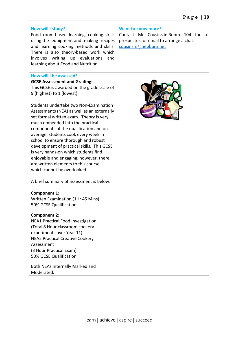| How will I study?<br>Food room-based learning, cooking skills<br>using the equipment and making recipes<br>and learning cooking methods and skills.<br>There is also theory-based work which<br>involves writing up evaluations<br>and<br>learning about Food and Nutrition.                                                                                                                                                                                                                                                                                                                                                                                                                 | <b>Want to know more?</b><br>Contact Mr Cousins in Room 104 for a<br>prospectus, or email to arrange a chat:<br>cousinsm@hebburn.net |
|----------------------------------------------------------------------------------------------------------------------------------------------------------------------------------------------------------------------------------------------------------------------------------------------------------------------------------------------------------------------------------------------------------------------------------------------------------------------------------------------------------------------------------------------------------------------------------------------------------------------------------------------------------------------------------------------|--------------------------------------------------------------------------------------------------------------------------------------|
| How will I be assessed?<br><b>GCSE Assessment and Grading:</b><br>This GCSE is awarded on the grade scale of<br>9 (highest) to 1 (lowest).<br>Students undertake two Non-Examination<br>Assessments (NEA) as well as an externally<br>set formal written exam. Theory is very<br>much embedded into the practical<br>components of the qualification and on<br>average, students cook every week in<br>school to ensure thorough and robust<br>development of practical skills. This GCSE<br>is very hands-on which students find<br>enjoyable and engaging, however, there<br>are written elements to this course<br>which cannot be overlooked.<br>A brief summary of assessment is below. |                                                                                                                                      |
| <b>Component 1:</b><br>Written Examination (1Hr 45 Mins)<br>50% GCSE Qualification<br><b>Component 2:</b><br><b>NEA1 Practical Food Investigation</b><br>(Total 8 Hour classroom cookery<br>experiments over Year 11)<br><b>NEA2 Practical Creative Cookery</b><br>Assessment<br>(3 Hour Practical Exam)<br>50% GCSE Qualification<br>Both NEAs Internally Marked and<br>Moderated.                                                                                                                                                                                                                                                                                                          |                                                                                                                                      |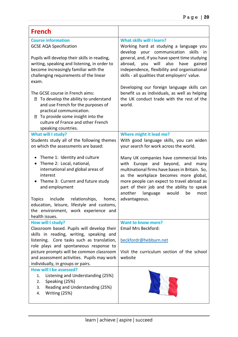| <b>French</b>                                                                                                                                                                                                                                          |                                                                                                                                                                                                                                                                                                                                   |
|--------------------------------------------------------------------------------------------------------------------------------------------------------------------------------------------------------------------------------------------------------|-----------------------------------------------------------------------------------------------------------------------------------------------------------------------------------------------------------------------------------------------------------------------------------------------------------------------------------|
| <b>Course information</b><br><b>GCSE AQA Specification</b><br>Pupils will develop their skills in reading,<br>writing, speaking and listening, in order to<br>become increasingly familiar with the<br>challenging requirements of the linear<br>exam. | <b>What skills will I learn?</b><br>Working hard at studying a language you<br>develop<br>your communication<br>skills<br>in i<br>general, and, if you have spent time studying<br>also<br>abroad, you<br>will<br>have<br>gained<br>independence, flexibility and organisational<br>skills - all qualities that employers' value. |
| The GCSE course in French aims:<br><b>2</b> To develop the ability to understand<br>and use French for the purposes of<br>practical communication.<br>7 To provide some insight into the<br>culture of France and other French<br>speaking countries.  | Developing our foreign language skills can<br>benefit us as individuals, as well as helping<br>the UK conduct trade with the rest of the<br>world.                                                                                                                                                                                |
| What will I study?<br>Students study all of the following themes<br>on which the assessments are based:                                                                                                                                                | Where might it lead me?<br>With good language skills, you can widen<br>your search for work across the world.                                                                                                                                                                                                                     |
| Theme 1: Identity and culture<br>Theme 2: Local, national,<br>$\bullet$<br>international and global areas of<br>interest<br>Theme 3: Current and future study<br>$\bullet$<br>and employment                                                           | Many UK companies have commercial links<br>with Europe and beyond, and<br>many<br>multinational firms have bases in Britain. So,<br>as the workplace becomes more global,<br>more people can expect to travel abroad as<br>part of their job and the ability to speak<br>another<br>language<br>would<br>be<br>most               |
| include<br>relationships,<br><b>Topics</b><br>home,<br>education, leisure, lifestyle and customs,<br>the environment, work experience and<br>health issues.                                                                                            | advantageous.                                                                                                                                                                                                                                                                                                                     |
| How will I study?<br>Classroom based. Pupils will develop their<br>skills in reading, writing, speaking and<br>listening. Core tasks such as translation,<br>role plays and spontaneous response to                                                    | <b>Want to know more?</b><br>Email Mrs Beckford:<br>beckfordr@hebburn.net                                                                                                                                                                                                                                                         |
| picture prompts will be common classroom<br>and assessment activities. Pupils may work<br>individually, in groups or pairs.                                                                                                                            | Visit the curriculum section of the school<br>website                                                                                                                                                                                                                                                                             |
| How will I be assessed?<br>Listening and Understanding (25%)<br>1.<br>Speaking (25%)<br>2.<br>Reading and Understanding (25%)<br>3.<br>Writing (25%)<br>4.                                                                                             |                                                                                                                                                                                                                                                                                                                                   |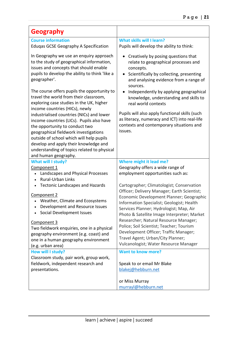| <b>Geography</b>                                                                                                                                                                                                                                                                                                              |                                                                                                                                                                                                                                |
|-------------------------------------------------------------------------------------------------------------------------------------------------------------------------------------------------------------------------------------------------------------------------------------------------------------------------------|--------------------------------------------------------------------------------------------------------------------------------------------------------------------------------------------------------------------------------|
| <b>Course information</b><br><b>Eduqas GCSE Geography A Specification</b>                                                                                                                                                                                                                                                     | What skills will I learn?<br>Pupils will develop the ability to think:                                                                                                                                                         |
| In Geography we use an enquiry approach<br>to the study of geographical information,<br>issues and concepts that should enable<br>pupils to develop the ability to think like a<br>geographer'.                                                                                                                               | Creatively by posing questions that<br>relate to geographical processes and<br>concepts.<br>Scientifically by collecting, presenting<br>and analysing evidence from a range of<br>sources.                                     |
| The course offers pupils the opportunity to<br>travel the world from their classroom,<br>exploring case studies in the UK, higher<br>income countries (HICs), newly                                                                                                                                                           | Independently by applying geographical<br>knowledge, understanding and skills to<br>real world contexts                                                                                                                        |
| industrialised countries (NICs) and lower<br>income countries (LICs). Pupils also have<br>the opportunity to conduct two<br>geographical fieldwork investigations<br>outside of school which will help pupils<br>develop and apply their knowledge and<br>understanding of topics related to physical<br>and human geography. | Pupils will also apply functional skills (such<br>as literacy, numeracy and ICT) into real-life<br>contexts and contemporary situations and<br>issues.                                                                         |
| <b>What will I study?</b>                                                                                                                                                                                                                                                                                                     | Where might it lead me?                                                                                                                                                                                                        |
| Component 1<br>Landscapes and Physical Processes<br><b>Rural-Urban Links</b><br>$\bullet$                                                                                                                                                                                                                                     | Geography offers a wide range of<br>employment opportunities such as:                                                                                                                                                          |
| <b>Tectonic Landscapes and Hazards</b><br>$\bullet$                                                                                                                                                                                                                                                                           | Cartographer; Climatologist; Conservation                                                                                                                                                                                      |
| Component 2<br>Weather, Climate and Ecosystems<br>Development and Resource Issues<br>Social Development Issues                                                                                                                                                                                                                | Officer; Delivery Manager; Earth Scientist;<br>Economic Development Planner; Geographic<br>Information Specialist; Geologist; Health<br>Services Planner; Hydrologist; Map, Air<br>Photo & Satellite Image Interpreter; Market |
| Component 3<br>Two fieldwork enquiries, one in a physical<br>geography environment (e.g. coast) and<br>one in a human geography environment<br>(e.g. urban area)                                                                                                                                                              | Researcher; Natural Resource Manager;<br>Police; Soil Scientist; Teacher; Tourism<br>Development Officer; Traffic Manager;<br>Travel Agent; Urban/City Planner;<br>Vulcanologist; Water Resource Manager                       |
| How will I study?                                                                                                                                                                                                                                                                                                             | <b>Want to know more?</b>                                                                                                                                                                                                      |
| Classroom study, pair work, group work,<br>fieldwork, independent research and<br>presentations.                                                                                                                                                                                                                              | Speak to or email Mr Blake<br>blakej@hebburn.net                                                                                                                                                                               |
|                                                                                                                                                                                                                                                                                                                               | or Miss Murray                                                                                                                                                                                                                 |
|                                                                                                                                                                                                                                                                                                                               | murrayl@hebburn.net                                                                                                                                                                                                            |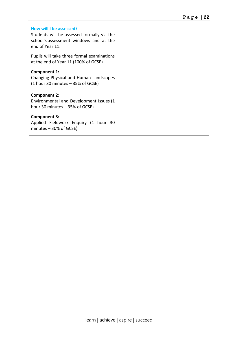| How will I be assessed?<br>Students will be assessed formally via the<br>school's assessment windows and at the<br>end of Year 11. |  |
|------------------------------------------------------------------------------------------------------------------------------------|--|
| Pupils will take three formal examinations<br>at the end of Year 11 (100% of GCSE)                                                 |  |
| Component 1:<br>Changing Physical and Human Landscapes<br>$(1$ hour 30 minutes $-$ 35% of GCSE)                                    |  |
| <b>Component 2:</b><br>Environmental and Development Issues (1<br>hour 30 minutes $-$ 35% of GCSE)                                 |  |
| <b>Component 3:</b><br>Applied Fieldwork Enquiry (1 hour 30<br>minutes $-30\%$ of GCSE)                                            |  |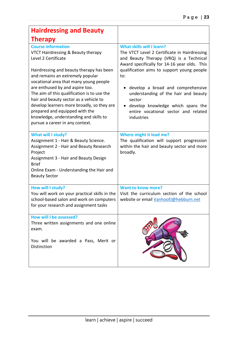| <b>Hairdressing and Beauty</b>                                                                                                                                                                                                                                                                                                                                                                                                                                                                            |                                                                                                                                                                                                                                                                                                                                                                                                                    |
|-----------------------------------------------------------------------------------------------------------------------------------------------------------------------------------------------------------------------------------------------------------------------------------------------------------------------------------------------------------------------------------------------------------------------------------------------------------------------------------------------------------|--------------------------------------------------------------------------------------------------------------------------------------------------------------------------------------------------------------------------------------------------------------------------------------------------------------------------------------------------------------------------------------------------------------------|
| <b>Therapy</b>                                                                                                                                                                                                                                                                                                                                                                                                                                                                                            |                                                                                                                                                                                                                                                                                                                                                                                                                    |
| <b>Course information</b><br>VTCT Hairdressing & Beauty therapy<br>Level 2 Certificate<br>Hairdressing and beauty therapy has been<br>and remains an extremely popular<br>vocational area that many young people<br>are enthused by and aspire too.<br>The aim of this qualification is to use the<br>hair and beauty sector as a vehicle to<br>develop learners more broadly, so they are<br>prepared and equipped with the<br>knowledge, understanding and skills to<br>pursue a career in any context. | <b>What skills will I learn?</b><br>The VTCT Level 2 Certificate in Hairdressing<br>and Beauty Therapy (VRQ) is a Technical<br>Award specifically for 14-16 year olds. This<br>qualification aims to support young people<br>to:<br>develop a broad and comprehensive<br>understanding of the hair and beauty<br>sector<br>develop knowledge which spans the<br>entire vocational sector and related<br>industries |
| What will I study?<br>Assignment 1 - Hair & Beauty Science.<br>Assignment 2 - Hair and Beauty Research<br>Project<br>Assignment 3 - Hair and Beauty Design<br><b>Brief</b><br>Online Exam - Understanding the Hair and<br><b>Beauty Sector</b>                                                                                                                                                                                                                                                            | Where might it lead me?<br>The qualification will support progression<br>within the hair and beauty sector and more<br>broadly.                                                                                                                                                                                                                                                                                    |
| How will I study?<br>You will work on your practical skills in the<br>school-based salon and work on computers<br>for your research and assignment tasks                                                                                                                                                                                                                                                                                                                                                  | <b>Want to know more?</b><br>Visit the curriculum section of the school<br>website or email VanhoofJ@hebburn.net                                                                                                                                                                                                                                                                                                   |
| How will I be assessed?<br>Three written assignments and one online<br>exam.<br>You will be awarded a Pass, Merit or<br><b>Distinction</b>                                                                                                                                                                                                                                                                                                                                                                |                                                                                                                                                                                                                                                                                                                                                                                                                    |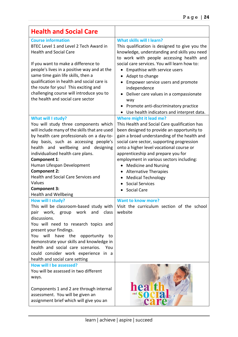| <b>Health and Social Care</b>                                                                                                                                                                                                                                                                                                                                                                                                                                    |                                                                                                                                                                                                                                                                                                                                                                                                                                                                                                                                 |
|------------------------------------------------------------------------------------------------------------------------------------------------------------------------------------------------------------------------------------------------------------------------------------------------------------------------------------------------------------------------------------------------------------------------------------------------------------------|---------------------------------------------------------------------------------------------------------------------------------------------------------------------------------------------------------------------------------------------------------------------------------------------------------------------------------------------------------------------------------------------------------------------------------------------------------------------------------------------------------------------------------|
| <b>Course information</b><br>BTEC Level 1 and Level 2 Tech Award in<br><b>Health and Social Care</b><br>If you want to make a difference to<br>people's lives in a positive way and at the<br>same time gain life skills, then a<br>qualification in health and social care is<br>the route for you! This exciting and<br>challenging course will introduce you to<br>the health and social care sector                                                          | <b>What skills will I learn?</b><br>This qualification is designed to give you the<br>knowledge, understanding and skills you need<br>to work with people accessing health and<br>social care services. You will learn how to:<br>Empathise with service users<br>Adapt to change<br>Empower service users and promote<br>independence<br>Deliver care values in a compassionate<br>$\bullet$<br>way<br>Promote anti-discriminatory practice<br>Use health indicators and interpret data.                                       |
| What will I study?<br>You will study three components which<br>will include many of the skills that are used<br>by health care professionals on a day-to-<br>day basis, such as accessing people's<br>health and wellbeing and designing<br>individualised health care plans.<br>Component 1:<br>Human Lifespan Development<br><b>Component 2:</b><br><b>Health and Social Care Services and</b><br>Values<br><b>Component 3:</b><br><b>Health and Wellbeing</b> | <b>Where might it lead me?</b><br>This Health and Social Care qualification has<br>been designed to provide an opportunity to<br>gain a broad understanding of the health and<br>social care sector, supporting progression<br>onto a higher level vocational course or<br>apprenticeship and prepare you for<br>employment in various sectors including:<br><b>Medicine and Nursing</b><br><b>Alternative Therapies</b><br>$\bullet$<br><b>Medical Technology</b><br><b>Social Services</b><br>$\bullet$<br><b>Social Care</b> |
| How will I study?<br>This will be classroom-based study with<br>work, group work<br>and<br>class<br>pair<br>discussions.<br>You will need to research topics and<br>present your findings.<br>will<br>have<br>the<br>You<br>opportunity<br>to<br>demonstrate your skills and knowledge in<br>health and social care scenarios. You<br>could consider work experience in a<br>health and social care setting                                                      | <b>Want to know more?</b><br>Visit the curriculum section of the school<br>website                                                                                                                                                                                                                                                                                                                                                                                                                                              |
| How will I be assessed?<br>You will be assessed in two different<br>ways.<br>Components 1 and 2 are through internal<br>assessment. You will be given an<br>assignment brief which will give you an                                                                                                                                                                                                                                                              | hea<br>and<br>C21                                                                                                                                                                                                                                                                                                                                                                                                                                                                                                               |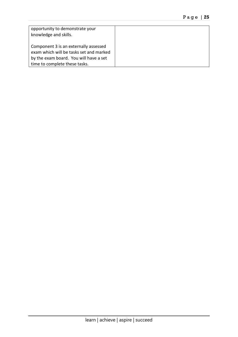| opportunity to demonstrate your<br>knowledge and skills. |
|----------------------------------------------------------|
| Component 3 is an externally assessed                    |
| exam which will be tasks set and marked                  |
| by the exam board. You will have a set                   |
| time to complete these tasks.                            |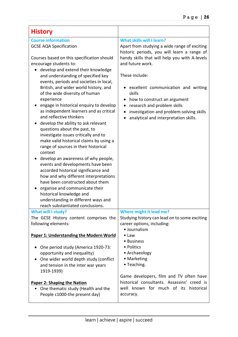| <b>History</b>                                                                                                                                                                                                                                                                                                                                                                                                                                                                                                                                                                                                                                                                                                                                                                                                                                                                                                           |                                                                                                                                                                                                                                                                                                                         |
|--------------------------------------------------------------------------------------------------------------------------------------------------------------------------------------------------------------------------------------------------------------------------------------------------------------------------------------------------------------------------------------------------------------------------------------------------------------------------------------------------------------------------------------------------------------------------------------------------------------------------------------------------------------------------------------------------------------------------------------------------------------------------------------------------------------------------------------------------------------------------------------------------------------------------|-------------------------------------------------------------------------------------------------------------------------------------------------------------------------------------------------------------------------------------------------------------------------------------------------------------------------|
| <b>Course information</b><br><b>GCSE AQA Specification</b>                                                                                                                                                                                                                                                                                                                                                                                                                                                                                                                                                                                                                                                                                                                                                                                                                                                               | What skills will I learn?<br>Apart from studying a wide range of exciting<br>historic periods, you will learn a range of                                                                                                                                                                                                |
| Courses based on this specification should<br>encourage students to:<br>develop and extend their knowledge<br>and understanding of specified key<br>events, periods and societies in local,<br>British, and wider world history, and<br>of the wide diversity of human<br>experience<br>engage in historical enquiry to develop<br>as independent learners and as critical<br>and reflective thinkers<br>develop the ability to ask relevant<br>questions about the past, to<br>investigate issues critically and to<br>make valid historical claims by using a<br>range of sources in their historical<br>context<br>develop an awareness of why people,<br>events and developments have been<br>accorded historical significance and<br>how and why different interpretations<br>have been constructed about them<br>organise and communicate their<br>historical knowledge and<br>understanding in different ways and | handy skills that will help you with A-levels<br>and future work.<br>These include:<br>excellent communication and writing<br>skills<br>how to construct an argument<br>$\bullet$<br>research and problem skills<br>٠<br>investigation and problem-solving skills<br>$\bullet$<br>analytical and interpretation skills. |
| reach substantiated conclusions.<br><b>What will I study?</b>                                                                                                                                                                                                                                                                                                                                                                                                                                                                                                                                                                                                                                                                                                                                                                                                                                                            | Where might it lead me?                                                                                                                                                                                                                                                                                                 |
| The GCSE History content comprises the<br>following elements:                                                                                                                                                                                                                                                                                                                                                                                                                                                                                                                                                                                                                                                                                                                                                                                                                                                            | Studying history can lead on to some exciting<br>career options, including:<br>· Journalism                                                                                                                                                                                                                             |
| Paper 1: Understanding the Modern World                                                                                                                                                                                                                                                                                                                                                                                                                                                                                                                                                                                                                                                                                                                                                                                                                                                                                  | $\bullet$ Law<br>• Business                                                                                                                                                                                                                                                                                             |
| One period study (America 1920-73:<br>opportunity and inequality)<br>One wider world depth study (conflict<br>and tension in the inter war years<br>1919-1939)                                                                                                                                                                                                                                                                                                                                                                                                                                                                                                                                                                                                                                                                                                                                                           | • Politics<br>• Archaeology<br>• Marketing<br>• Teaching.                                                                                                                                                                                                                                                               |
| <b>Paper 2: Shaping the Nation</b><br>One thematic study (Health and the<br>People c1000-the present day)                                                                                                                                                                                                                                                                                                                                                                                                                                                                                                                                                                                                                                                                                                                                                                                                                | Game developers, film and TV often have<br>historical consultants. Assassins' creed is<br>well known for much of its historical<br>accuracy.                                                                                                                                                                            |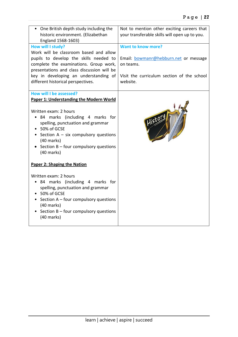| • One British depth study including the<br>historic environment. (Elizabethan<br>England 1568-1603) | Not to mention other exciting careers that<br>your transferable skills will open up to you. |
|-----------------------------------------------------------------------------------------------------|---------------------------------------------------------------------------------------------|
| How will I study?                                                                                   | Want to know more?                                                                          |
| Work will be classroom based and allow                                                              |                                                                                             |
| pupils to develop the skills needed to                                                              | Email: bowmanr@hebburn.net or message                                                       |
| complete the examinations. Group work,                                                              | on teams.                                                                                   |
| presentations and class discussion will be                                                          |                                                                                             |
| key in developing an understanding of<br>different historical perspectives.                         | Visit the curriculum section of the school<br>website.                                      |
|                                                                                                     |                                                                                             |
| <b>How will I be assessed?</b>                                                                      |                                                                                             |
| Paper 1: Understanding the Modern World                                                             |                                                                                             |
|                                                                                                     |                                                                                             |
| Written exam: 2 hours                                                                               |                                                                                             |
| • 84 marks (including 4 marks for<br>spelling, punctuation and grammar                              | Histe                                                                                       |
| 50% of GCSE                                                                                         |                                                                                             |
| • Section $A - six$ compulsory questions                                                            |                                                                                             |
| $(40$ marks)                                                                                        |                                                                                             |
| • Section $B$ – four compulsory questions                                                           |                                                                                             |
| $(40$ marks)                                                                                        |                                                                                             |
| <b>Paper 2: Shaping the Nation</b>                                                                  |                                                                                             |
|                                                                                                     |                                                                                             |
| Written exam: 2 hours                                                                               |                                                                                             |
| • 84 marks (including 4 marks for                                                                   |                                                                                             |
| spelling, punctuation and grammar                                                                   |                                                                                             |
| • 50% of GCSE                                                                                       |                                                                                             |
| • Section A - four compulsory questions<br>$(40$ marks)                                             |                                                                                             |
| • Section $B$ – four compulsory questions                                                           |                                                                                             |
| (40 marks)                                                                                          |                                                                                             |
|                                                                                                     |                                                                                             |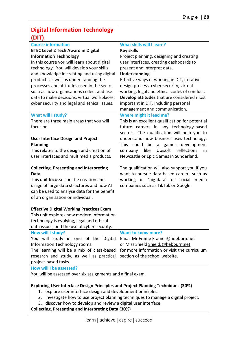| <b>Digital Information Technology</b>                                                                                                                                                                                                                                                                                                                                                                                                                                                |                                                                                                                                                                                                                                                                                                                                                                                                                                                                      |
|--------------------------------------------------------------------------------------------------------------------------------------------------------------------------------------------------------------------------------------------------------------------------------------------------------------------------------------------------------------------------------------------------------------------------------------------------------------------------------------|----------------------------------------------------------------------------------------------------------------------------------------------------------------------------------------------------------------------------------------------------------------------------------------------------------------------------------------------------------------------------------------------------------------------------------------------------------------------|
| (DIT)                                                                                                                                                                                                                                                                                                                                                                                                                                                                                |                                                                                                                                                                                                                                                                                                                                                                                                                                                                      |
| <b>Course information</b><br><b>BTEC Level 2 Tech Award in Digital</b><br><b>Information Technology</b><br>In this course you will learn about digital<br>technology. You will develop your skills<br>and knowledge in creating and using digital<br>products as well as understanding the<br>processes and attitudes used in the sector<br>such as how organisations collect and use<br>data to make decisions, virtual workplaces,<br>cyber security and legal and ethical issues. | <b>What skills will I learn?</b><br><b>Key skills</b><br>Project planning, designing and creating<br>user interfaces, creating dashboards to<br>present and interpret data.<br><b>Understanding</b><br>Effective ways of working in DIT, iterative<br>design process, cyber security, virtual<br>working, legal and ethical codes of conduct.<br>Develop attitudes that are considered most<br>important in DIT, including personal<br>management and communication. |
| What will I study?<br>There are three main areas that you will<br>focus on.                                                                                                                                                                                                                                                                                                                                                                                                          | <b>Where might it lead me?</b><br>This is an excellent qualification for potential<br>future careers in any technology-based<br>sector. The qualification will help you to                                                                                                                                                                                                                                                                                           |
| <b>User Interface Design and Project</b><br><b>Planning</b><br>This relates to the design and creation of<br>user interfaces and multimedia products.                                                                                                                                                                                                                                                                                                                                | understand how business uses technology.<br><b>This</b><br>could<br>be<br>games development<br>a<br>reflections<br>Ubisoft<br>like<br>company<br>in<br>Newcastle or Epic Games in Sunderland.                                                                                                                                                                                                                                                                        |
| <b>Collecting, Presenting and Interpreting</b><br>Data<br>This unit focusses on the creation and<br>usage of large data structures and how AI<br>can be used to analyse data for the benefit<br>of an organisation or individual.                                                                                                                                                                                                                                                    | The qualification will also support you if you<br>want to pursue data-based careers such as<br>working in 'big-data' or social<br>media<br>companies such as TikTok or Google.                                                                                                                                                                                                                                                                                       |
| <b>Effective Digital Working Practices Exam</b><br>This unit explores how modern information<br>technology is evolving, legal and ethical<br>data issues, and the use of cyber security.                                                                                                                                                                                                                                                                                             |                                                                                                                                                                                                                                                                                                                                                                                                                                                                      |
| How will I study?<br>You will study in one of the Digital<br>Information Technology rooms.<br>The learning will be a mix of class-based<br>research and study, as well as practical<br>project-based tasks.<br>How will I be assessed?                                                                                                                                                                                                                                               | <b>Want to know more?</b><br>Email Mr Frame Framer@hebburn.net<br>or Miss Shield ShieldJ@hebburn.net<br>for more information or visit the curriculum<br>section of the school website.                                                                                                                                                                                                                                                                               |

You will be assessed over six assignments and a final exam.

#### **Exploring User Interface Design Principles and Project Planning Techniques (30%)**

- 1. explore user interface design and development principles.
- 2. investigate how to use project planning techniques to manage a digital project.
- 3. discover how to develop and review a digital user interface.

**Collecting, Presenting and Interpreting Data (30%)**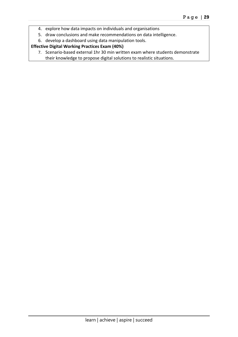- 4. explore how data impacts on individuals and organisations
- 5. draw conclusions and make recommendations on data intelligence.
- 6. develop a dashboard using data manipulation tools.

#### **Effective Digital Working Practices Exam (40%)**

7. Scenario-based external 1hr 30 min written exam where students demonstrate their knowledge to propose digital solutions to realistic situations.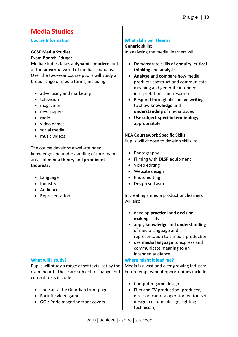| <b>Media Studies</b>                                                                                                                                                    |                                                                                                                                                                                                                                                  |
|-------------------------------------------------------------------------------------------------------------------------------------------------------------------------|--------------------------------------------------------------------------------------------------------------------------------------------------------------------------------------------------------------------------------------------------|
| <b>Course Information</b>                                                                                                                                               | <b>What skills will I learn?</b><br><b>Generic skills:</b>                                                                                                                                                                                       |
| <b>GCSE Media Studies</b><br><b>Exam Board: Edugas</b>                                                                                                                  | In analysing the media, learners will:                                                                                                                                                                                                           |
| Media Studies takes a dynamic, modern look<br>at the <b>powerful</b> world of media around us.                                                                          | Demonstrate skills of enquiry, critical<br>thinking and analysis                                                                                                                                                                                 |
| Over the two-year course pupils will study a<br>broad range of media forms, including:                                                                                  | Analyse and compare how media<br>products construct and communicate<br>meaning and generate intended                                                                                                                                             |
| advertising and marketing<br>television<br>magazines                                                                                                                    | interpretations and responses<br>• Respond through discursive writing<br>to show knowledge and                                                                                                                                                   |
| newspapers<br>$\bullet$<br>radio<br>$\bullet$<br>video games<br>social media                                                                                            | understanding of media issues<br>• Use subject-specific terminology<br>appropriately                                                                                                                                                             |
| music videos                                                                                                                                                            | <b>NEA Coursework Specific Skills:</b><br>Pupils will choose to develop skills in:                                                                                                                                                               |
| The course develops a well-rounded<br>knowledge and understanding of four main<br>areas of media theory and prominent<br>theorists:<br>Language<br>Industry<br>Audience | Photography<br>Filming with DLSR equipment<br>$\bullet$<br>Video editing<br>٠<br>• Website design<br>Photo editing<br>Design software                                                                                                            |
| Representation.                                                                                                                                                         | In creating a media production, learners<br>will also:                                                                                                                                                                                           |
|                                                                                                                                                                         | develop practical and decision-<br>making skills<br>• apply knowledge and understanding<br>of media language and<br>representation to a media production<br>use media language to express and<br>communicate meaning to an<br>intended audience. |
| What will I study?                                                                                                                                                      | Where might it lead me?                                                                                                                                                                                                                          |
| Pupils will study a range of set texts, set by the<br>exam board. These are subject to change, but<br>current texts include:                                            | Media is a vast and ever-growing industry.<br>Future employment opportunities include:                                                                                                                                                           |
| The Sun / The Guardian front pages<br>Fortnite video game<br>GQ / Pride magazine front covers                                                                           | Computer game design<br>Film and TV production (producer,<br>director, camera operator, editor, set<br>design, costume design, lighting<br>technician)                                                                                           |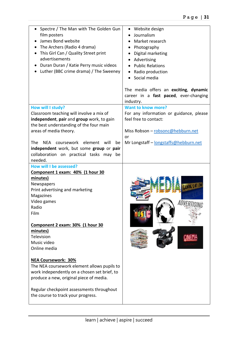| Spectre / The Man with The Golden Gun<br>film posters<br>James Bond website<br>The Archers (Radio 4 drama)<br>This Girl Can / Quality Street print<br>advertisements<br>Duran Duran / Katie Perry music videos<br>Luther (BBC crime drama) / The Sweeney | Website design<br>$\bullet$<br>Journalism<br>Market research<br>Photography<br>Digital marketing<br>Advertising<br><b>Public Relations</b><br>Radio production<br>Social media |
|----------------------------------------------------------------------------------------------------------------------------------------------------------------------------------------------------------------------------------------------------------|--------------------------------------------------------------------------------------------------------------------------------------------------------------------------------|
|                                                                                                                                                                                                                                                          | The media offers an exciting, dynamic<br>career in a fast paced, ever-changing<br>industry.                                                                                    |
| How will I study?                                                                                                                                                                                                                                        | <b>Want to know more?</b>                                                                                                                                                      |
| Classroom teaching will involve a mix of                                                                                                                                                                                                                 | For any information or guidance, please                                                                                                                                        |
| independent, pair and group work, to gain                                                                                                                                                                                                                | feel free to contact:                                                                                                                                                          |
| the best understanding of the four main<br>areas of media theory.                                                                                                                                                                                        | Miss Robson - robsonc@hebburn.net                                                                                                                                              |
|                                                                                                                                                                                                                                                          | or                                                                                                                                                                             |
| NEA coursework<br><b>The</b><br>element will<br>be                                                                                                                                                                                                       | Mr Longstaff - longstaffs@hebburn.net                                                                                                                                          |
| independent work, but some group or pair                                                                                                                                                                                                                 |                                                                                                                                                                                |
| collaboration on practical tasks may be                                                                                                                                                                                                                  |                                                                                                                                                                                |
| needed.                                                                                                                                                                                                                                                  |                                                                                                                                                                                |
| How will I be assessed?                                                                                                                                                                                                                                  |                                                                                                                                                                                |
| Component 1 exam: 40% (1 hour 30<br>minutes)                                                                                                                                                                                                             |                                                                                                                                                                                |
| Newspapers                                                                                                                                                                                                                                               |                                                                                                                                                                                |
| Print advertising and marketing                                                                                                                                                                                                                          |                                                                                                                                                                                |
| Magazines                                                                                                                                                                                                                                                |                                                                                                                                                                                |
| Video games                                                                                                                                                                                                                                              |                                                                                                                                                                                |
| Radio                                                                                                                                                                                                                                                    |                                                                                                                                                                                |
| Film                                                                                                                                                                                                                                                     |                                                                                                                                                                                |
|                                                                                                                                                                                                                                                          |                                                                                                                                                                                |
| Component 2 exam: 30% (1 hour 30<br>minutes)                                                                                                                                                                                                             |                                                                                                                                                                                |
| Television                                                                                                                                                                                                                                               |                                                                                                                                                                                |
| Music video                                                                                                                                                                                                                                              |                                                                                                                                                                                |
| Online media                                                                                                                                                                                                                                             |                                                                                                                                                                                |
| <b>NEA Coursework: 30%</b><br>The NEA coursework element allows pupils to<br>work independently on a chosen set brief, to<br>produce a new, original piece of media.<br>Regular checkpoint assessments throughout<br>the course to track your progress.  |                                                                                                                                                                                |
|                                                                                                                                                                                                                                                          |                                                                                                                                                                                |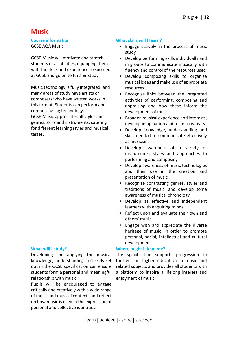| <b>Music</b>                                                                                                                                                                                                                                                                                                                                                                                                                                                                                                                                                                            |                                                                                                                                                                                                                                                                                                                                                                                                                                                                                                                                                                                                                                                                                                                                                                                                                                                                                                                                                                                                                                                                                                                                                                                                             |
|-----------------------------------------------------------------------------------------------------------------------------------------------------------------------------------------------------------------------------------------------------------------------------------------------------------------------------------------------------------------------------------------------------------------------------------------------------------------------------------------------------------------------------------------------------------------------------------------|-------------------------------------------------------------------------------------------------------------------------------------------------------------------------------------------------------------------------------------------------------------------------------------------------------------------------------------------------------------------------------------------------------------------------------------------------------------------------------------------------------------------------------------------------------------------------------------------------------------------------------------------------------------------------------------------------------------------------------------------------------------------------------------------------------------------------------------------------------------------------------------------------------------------------------------------------------------------------------------------------------------------------------------------------------------------------------------------------------------------------------------------------------------------------------------------------------------|
| <b>Course information</b><br><b>GCSE AQA Music</b><br><b>GCSE Music will motivate and stretch</b><br>students of all abilities, equipping them<br>with the skills and experience to succeed<br>at GCSE and go on to further study.<br>Music technology is fully integrated, and<br>many areas of study have artists or<br>composers who have written works in<br>this format. Students can perform and<br>compose using technology.<br><b>GCSE Music appreciates all styles and</b><br>genres, skills and instruments, catering<br>for different learning styles and musical<br>tastes. | <b>What skills will I learn?</b><br>Engage actively in the process of music<br>study<br>Develop performing skills individually and<br>in groups to communicate musically with<br>fluency and control of the resources used<br>Develop composing skills to organise<br>musical ideas and make use of appropriate<br>resources<br>Recognise links between the integrated<br>activities of performing, composing and<br>appraising and how these inform the<br>development of music<br>Broaden musical experience and interests,<br>develop imagination and foster creativity<br>Develop knowledge, understanding and<br>skills needed to communicate effectively<br>as musicians<br>Develop awareness of a variety of<br>instruments, styles and approaches to<br>performing and composing<br>Develop awareness of music technologies<br>and their use in the creation<br>and<br>presentation of music<br>Recognise contrasting genres, styles and<br>traditions of music, and develop some<br>awareness of musical chronology<br>Develop as effective and independent<br>learners with enquiring minds<br>Reflect upon and evaluate their own and<br>others' music<br>Engage with and appreciate the diverse |
|                                                                                                                                                                                                                                                                                                                                                                                                                                                                                                                                                                                         | heritage of music, in order to promote<br>personal, social, intellectual and cultural<br>development.                                                                                                                                                                                                                                                                                                                                                                                                                                                                                                                                                                                                                                                                                                                                                                                                                                                                                                                                                                                                                                                                                                       |
| What will I study?<br>Developing and applying the musical<br>knowledge, understanding and skills set<br>out in the GCSE specification can ensure<br>students form a personal and meaningful<br>relationship with music.<br>Pupils will be encouraged to engage<br>critically and creatively with a wide range<br>of music and musical contexts and reflect<br>on how music is used in the expression of<br>personal and collective identities.                                                                                                                                          | Where might it lead me?<br>The specification supports progression to<br>further and higher education in music and<br>related subjects and provides all students with<br>a platform to inspire a lifelong interest and<br>enjoyment of music.                                                                                                                                                                                                                                                                                                                                                                                                                                                                                                                                                                                                                                                                                                                                                                                                                                                                                                                                                                |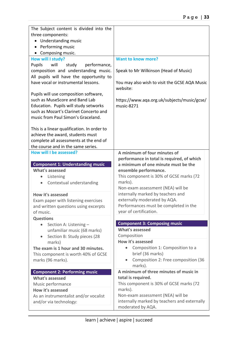| The Subject content is divided into the                                         |                                                           |
|---------------------------------------------------------------------------------|-----------------------------------------------------------|
| three components:                                                               |                                                           |
| Understanding music<br>$\bullet$                                                |                                                           |
| Performing music<br>$\bullet$                                                   |                                                           |
| Composing music.                                                                |                                                           |
| How will I study?                                                               | <b>Want to know more?</b>                                 |
| Pupils<br>will<br>study<br>performance,                                         |                                                           |
| composition and understanding music.                                            | Speak to Mr Wilkinson (Head of Music)                     |
| All pupils will have the opportunity to                                         |                                                           |
| have vocal or instrumental lessons.                                             | You may also wish to visit the GCSE AQA Music             |
|                                                                                 | website:                                                  |
| Pupils will use composition software,                                           |                                                           |
| such as MuseScore and Band Lab                                                  | https://www.aqa.org.uk/subjects/music/gcse/<br>music-8271 |
| Education. Pupils will study setworks<br>such as Mozart's Clarinet Concerto and |                                                           |
| music from Paul Simon's Graceland.                                              |                                                           |
|                                                                                 |                                                           |
| This is a linear qualification. In order to                                     |                                                           |
| achieve the award, students must                                                |                                                           |
| complete all assessments at the end of                                          |                                                           |
| the course and in the same series.                                              |                                                           |
| <b>How will I be assessed?</b>                                                  | A minimum of four minutes of                              |
|                                                                                 | performance in total is required, of which                |
| <b>Component 1: Understanding music</b>                                         | a minimum of one minute must be the                       |
| <b>What's assessed</b>                                                          | ensemble performance.                                     |
| Listening<br>$\bullet$                                                          | This component is 30% of GCSE marks (72                   |
| Contextual understanding                                                        | marks).                                                   |
|                                                                                 | Non-exam assessment (NEA) will be                         |
| How it's assessed                                                               | internally marked by teachers and                         |
| Exam paper with listening exercises                                             | externally moderated by AQA.                              |
| and written questions using excerpts                                            | Performances must be completed in the                     |
| of music.                                                                       | year of certification.                                    |
| <b>Questions</b>                                                                |                                                           |
| Section A: Listening -<br>$\bullet$                                             | <b>Component 3: Composing music</b>                       |
| unfamiliar music (68 marks)                                                     | <b>What's assessed</b>                                    |
| Section B: Study pieces (28<br>$\bullet$                                        | Composition                                               |
| marks)                                                                          | How it's assessed                                         |
| The exam is 1 hour and 30 minutes.                                              | Composition 1: Composition to a<br>$\bullet$              |
| This component is worth 40% of GCSE                                             | brief (36 marks)                                          |
| marks (96 marks).                                                               | Composition 2: Free composition (36<br>$\bullet$          |
|                                                                                 | marks).                                                   |
| <b>Component 2: Performing music</b>                                            | A minimum of three minutes of music in                    |
| <b>What's assessed</b>                                                          | total is required.                                        |
| Music performance                                                               | This component is 30% of GCSE marks (72                   |
| How it's assessed                                                               | marks).                                                   |
| As an instrumentalist and/or vocalist                                           | Non-exam assessment (NEA) will be                         |
| and/or via technology:                                                          | internally marked by teachers and externally              |
|                                                                                 | moderated by AQA.                                         |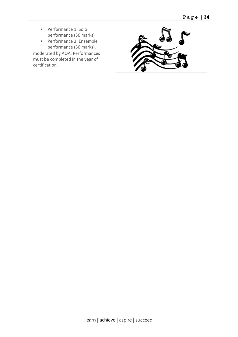- Performance 1: Solo performance (36 marks)
- Performance 2: Ensemble performance (36 marks).

moderated by AQA. Performances must be completed in the year of certification.

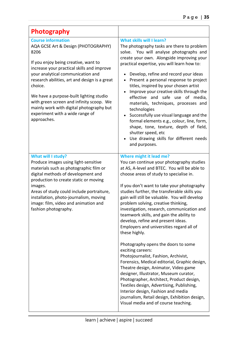| Photography                                                                                                                                                                                                                                                                                                                                                                                                                                          |                                                                                                                                                                                                                                                                                                                                                                                                                                                                                                                                                                                                                                                                                                                                                                                                                                                                                                                                                                           |
|------------------------------------------------------------------------------------------------------------------------------------------------------------------------------------------------------------------------------------------------------------------------------------------------------------------------------------------------------------------------------------------------------------------------------------------------------|---------------------------------------------------------------------------------------------------------------------------------------------------------------------------------------------------------------------------------------------------------------------------------------------------------------------------------------------------------------------------------------------------------------------------------------------------------------------------------------------------------------------------------------------------------------------------------------------------------------------------------------------------------------------------------------------------------------------------------------------------------------------------------------------------------------------------------------------------------------------------------------------------------------------------------------------------------------------------|
| <b>Course information</b><br>AQA GCSE Art & Design (PHOTOGRAPHY)<br>8206<br>If you enjoy being creative, want to<br>increase your practical skills and improve<br>your analytical communication and<br>research abilities, art and design is a great<br>choice.<br>We have a purpose-built lighting studio<br>with green screen and infinity scoop. We<br>mainly work with digital photography but<br>experiment with a wide range of<br>approaches. | <b>What skills will I learn?</b><br>The photography tasks are there to problem<br>solve. You will analyse photographs and<br>create your own. Alongside improving your<br>practical expertise, you will learn how to:<br>Develop, refine and record your ideas<br>Present a personal response to project<br>titles, inspired by your chosen artist<br>Improve your creative skills through the<br>effective and safe use of media,<br>materials, techniques, processes and<br>technologies<br>Successfully use visual language and the<br>formal elements e.g., colour, line, form,<br>shape, tone, texture, depth of field,<br>shutter speed, etc<br>Use drawing skills for different needs<br>and purposes.                                                                                                                                                                                                                                                             |
| What will I study?<br>Produce images using light-sensitive<br>materials such as photographic film or<br>digital methods of development and<br>production to create static or moving<br>images.<br>Areas of study could include portraiture,<br>installation, photo-journalism, moving<br>image: film, video and animation and<br>fashion photography.                                                                                                | Where might it lead me?<br>You can continue your photography studies<br>at AS, A-level and BTEC. You will be able to<br>choose areas of study to specialise in.<br>If you don't want to take your photography<br>studies further, the transferable skills you<br>gain will still be valuable. You will develop<br>problem solving, creative thinking,<br>investigation, research, communication and<br>teamwork skills, and gain the ability to<br>develop, refine and present ideas.<br>Employers and universities regard all of<br>these highly.<br>Photography opens the doors to some<br>exciting careers:<br>Photojournalist, Fashion, Archivist,<br>Forensics, Medical editorial, Graphic design,<br>Theatre design, Animator, Video game<br>designer, Illustrator, Museum curator,<br>Photographer, Architect, Product design,<br>Textiles design, Advertising, Publishing,<br>Interior design, Fashion and media<br>journalism, Retail design, Exhibition design, |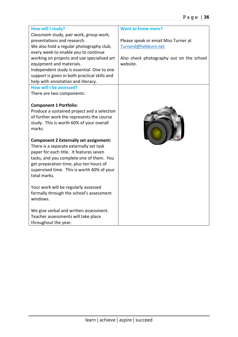| How will I study?                             | <b>Want to know more?</b>                |
|-----------------------------------------------|------------------------------------------|
| Classroom study, pair work, group work,       |                                          |
| presentations and research.                   | Please speak or email Miss Turner at     |
| We also hold a regular photography club,      | Turnerd@hebburn.net                      |
| every week to enable you to continue          |                                          |
| working on projects and use specialised art   | Also check photography out on the school |
| equipment and materials.                      | website.                                 |
| Independent study is essential. One to one    |                                          |
| support is given in both practical skills and |                                          |
| help with annotation and literacy.            |                                          |
| How will I be assessed?                       |                                          |
| There are two components:                     |                                          |
|                                               |                                          |
| <b>Component 1 Portfolio:</b>                 |                                          |
| Produce a sustained project and a selection   | Canon                                    |
| of further work the represents the course     |                                          |
| study. This is worth 60% of your overall      |                                          |
| marks.                                        |                                          |
|                                               |                                          |
| <b>Component 2 Externally set assignment:</b> |                                          |
| There is a separate externally set task       |                                          |
| paper for each title. It features seven       |                                          |
| tasks, and you complete one of them. You      |                                          |
| get preparation time, plus ten hours of       |                                          |
| supervised time. This is worth 40% of your    |                                          |
| total marks.                                  |                                          |
|                                               |                                          |
| Your work will be regularly assessed          |                                          |
| formally through the school's assessment      |                                          |
| windows.                                      |                                          |
|                                               |                                          |
| We give verbal and written assessment.        |                                          |
| Teacher assessments will take place           |                                          |
| throughout the year.                          |                                          |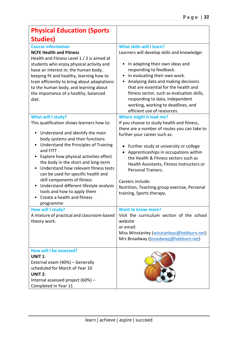| <b>Physical Education (Sports</b>                                                                                                                                                                                                                                                                                                                                                                                                                                                                                                                                                                                       |                                                                                                                                                                                                                                                                                                                                                                                                                                                                                                                                            |
|-------------------------------------------------------------------------------------------------------------------------------------------------------------------------------------------------------------------------------------------------------------------------------------------------------------------------------------------------------------------------------------------------------------------------------------------------------------------------------------------------------------------------------------------------------------------------------------------------------------------------|--------------------------------------------------------------------------------------------------------------------------------------------------------------------------------------------------------------------------------------------------------------------------------------------------------------------------------------------------------------------------------------------------------------------------------------------------------------------------------------------------------------------------------------------|
| <b>Studies</b> )                                                                                                                                                                                                                                                                                                                                                                                                                                                                                                                                                                                                        |                                                                                                                                                                                                                                                                                                                                                                                                                                                                                                                                            |
| <b>Course information</b><br><b>NCFE Health and Fitness</b><br>Health and Fitness Level 1 / 2 is aimed at<br>students who enjoy physical activity and<br>have an interest in; the human body,<br>keeping fit and healthy, learning how to<br>train efficiently to bring about adaptations<br>to the human body, and learning about<br>the importance of a healthy, balanced<br>diet.                                                                                                                                                                                                                                    | <b>What skills will I learn?</b><br>Learners will develop skills and knowledge:<br>In adapting their own ideas and<br>responding to feedback.<br>In evaluating their own work.<br>Analysing data and making decisions<br>that are essential for the health and<br>fitness sector, such as evaluation skills,<br>responding to data, independent<br>working, working to deadlines, and<br>efficient use of resources.                                                                                                                       |
| What will I study?<br>This qualification shows learners how to:<br>Understand and identify the main<br>٠<br>body systems and their functions<br>Understand the Principles of Training<br>and FITT<br>Explore how physical activities effect<br>$\bullet$<br>the body in the short and long-term<br>Understand how relevant fitness tests<br>can be used for specific health and<br>skill components of fitness<br>Understand different lifestyle analysis<br>tools and how to apply them<br>Create a health and fitness<br>programme<br>How will I study?<br>A mixture of practical and classroom-based<br>theory work. | Where might it lead me?<br>If you choose to study health and fitness,<br>there are a number of routes you can take to<br>further your career such as:<br>Further study at university or college<br>Apprenticeships in occupations within<br>the Health & Fitness sectors such as<br>Health Assistants, Fitness Instructors or<br>Personal Trainers.<br>Careers include:<br>Nutrition, Teaching group exercise, Personal<br>training, Sports therapy.<br><b>Want to know more?</b><br>Visit the curriculum section of the school<br>website |
|                                                                                                                                                                                                                                                                                                                                                                                                                                                                                                                                                                                                                         | or email:<br>Miss Winstanley (winstanleyc@hebburn.net)<br>Mrs Broadway (broadwayj@hebburn.net)                                                                                                                                                                                                                                                                                                                                                                                                                                             |
| How will I be assessed?<br><b>UNIT 1:</b><br>External exam (40%) - Generally<br>scheduled for March of Year 10<br><b>UNIT 2:</b><br>Internal assessed project (60%) -<br>Completed in Year 11                                                                                                                                                                                                                                                                                                                                                                                                                           |                                                                                                                                                                                                                                                                                                                                                                                                                                                                                                                                            |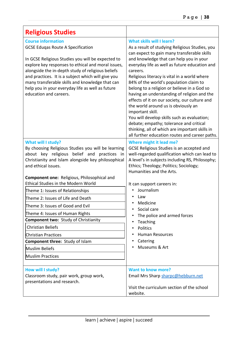| <b>Religious Studies</b>                                                                                                                                                                                                                                                                                                                                                                                                                                                                                                                                                                                                                   |                                                                                                                                                                                                                                                                                                                                                                                                                                                                                                                                                                                                                                                                                                                                      |
|--------------------------------------------------------------------------------------------------------------------------------------------------------------------------------------------------------------------------------------------------------------------------------------------------------------------------------------------------------------------------------------------------------------------------------------------------------------------------------------------------------------------------------------------------------------------------------------------------------------------------------------------|--------------------------------------------------------------------------------------------------------------------------------------------------------------------------------------------------------------------------------------------------------------------------------------------------------------------------------------------------------------------------------------------------------------------------------------------------------------------------------------------------------------------------------------------------------------------------------------------------------------------------------------------------------------------------------------------------------------------------------------|
| <b>Course information</b><br><b>GCSE Eduqas Route A Specification</b><br>In GCSE Religious Studies you will be expected to<br>explore key responses to ethical and moral issues,<br>alongside the in-depth study of religious beliefs<br>and practices. It is a subject which will give you<br>many transferable skills and knowledge that can<br>help you in your everyday life as well as future<br>education and careers.                                                                                                                                                                                                               | What skills will I learn?<br>As a result of studying Religious Studies, you<br>can expect to gain many transferable skills<br>and knowledge that can help you in your<br>everyday life as well as future education and<br>careers.<br>Religious literacy is vital in a world where<br>84% of the world's population claim to<br>belong to a religion or believe in a God so<br>having an understanding of religion and the<br>effects of it on our society, our culture and<br>the world around us is obviously an<br>important skill.<br>You will develop skills such as evaluation;<br>debate; empathy; tolerance and critical<br>thinking, all of which are important skills in<br>all further education routes and career paths. |
| What will I study?<br>By choosing Religious Studies you will be learning<br>about key religious belief and practices in<br>Christianity and Islam alongside key philosophical<br>and ethical issues.<br>Component one: Religious, Philosophical and<br><b>Ethical Studies in the Modern World</b><br>Theme 1: Issues of Relationships<br>Theme 2: Issues of Life and Death<br>Theme 3: Issues of Good and Evil<br>Theme 4: Issues of Human Rights<br><b>Component two: Study of Christianity</b><br><b>Christian Beliefs</b><br><b>Christian Practices</b><br>Component three: Study of Islam<br>Muslim Beliefs<br><b>Muslim Practices</b> | Where might it lead me?<br>GCSE Religious Studies is an accepted and<br>well-regarded qualification which can lead to<br>A level's in subjects including RS, Philosophy;<br>Ethics; Theology; Politics; Sociology;<br>Humanities and the Arts.<br>It can support careers in:<br>Journalism<br>Law<br>Medicine<br>Social care<br>٠<br>The police and armed forces<br>Teaching<br>Politics<br><b>Human Resources</b><br>Catering<br>Museums & Art                                                                                                                                                                                                                                                                                      |
| How will I study?<br>Classroom study, pair work, group work,<br>presentations and research.                                                                                                                                                                                                                                                                                                                                                                                                                                                                                                                                                | <b>Want to know more?</b><br>Email Mrs Sharp sharpc@hebburn.net<br>Visit the curriculum section of the school<br>website.                                                                                                                                                                                                                                                                                                                                                                                                                                                                                                                                                                                                            |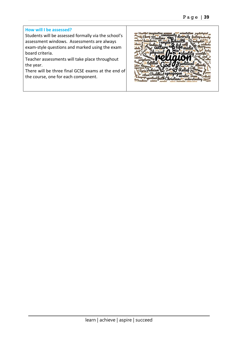#### **How will I be assessed?**

Students will be assessed formally via the school's assessment windows. Assessments are always exam-style questions and marked using the exam board criteria.

Teacher assessments will take place throughout the year.

There will be three final GCSE exams at the end of the course, one for each component.

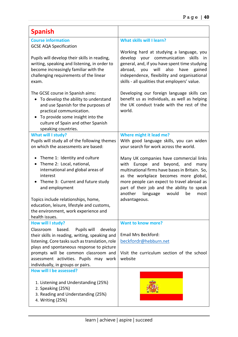| <b>Spanish</b>                                                                                                                                                                                                                                            |                                                                                                                                                                                                                                                                                                                           |
|-----------------------------------------------------------------------------------------------------------------------------------------------------------------------------------------------------------------------------------------------------------|---------------------------------------------------------------------------------------------------------------------------------------------------------------------------------------------------------------------------------------------------------------------------------------------------------------------------|
| <b>Course information</b><br><b>GCSE AQA Specification</b><br>Pupils will develop their skills in reading,<br>writing, speaking and listening, in order to<br>become increasingly familiar with the                                                       | <b>What skills will I learn?</b><br>Working hard at studying a language, you<br>develop your communication skills in<br>general, and, if you have spent time studying<br>will<br>also<br>abroad, you<br>have<br>gained                                                                                                    |
| challenging requirements of the linear<br>exam.                                                                                                                                                                                                           | independence, flexibility and organisational<br>skills - all qualities that employers' value.                                                                                                                                                                                                                             |
| The GCSE course in Spanish aims:<br>To develop the ability to understand<br>$\bullet$<br>and use Spanish for the purposes of<br>practical communication.<br>To provide some insight into the<br>culture of Spain and other Spanish<br>speaking countries. | Developing our foreign language skills can<br>benefit us as individuals, as well as helping<br>the UK conduct trade with the rest of the<br>world.                                                                                                                                                                        |
| <b>What will I study?</b><br>Pupils will study all of the following themes<br>on which the assessments are based:                                                                                                                                         | Where might it lead me?<br>With good language skills, you can widen<br>your search for work across the world.                                                                                                                                                                                                             |
| Theme 1: Identity and culture<br>$\bullet$<br>Theme 2: Local, national,<br>international and global areas of<br>interest<br>Theme 3: Current and future study<br>and employment                                                                           | Many UK companies have commercial links<br>Europe and<br>beyond, and<br>with<br>many<br>multinational firms have bases in Britain. So,<br>as the workplace becomes more global,<br>more people can expect to travel abroad as<br>part of their job and the ability to speak<br>another<br>language<br>would<br>be<br>most |
| Topics include relationships, home,<br>education, leisure, lifestyle and customs,<br>the environment, work experience and<br>health issues.                                                                                                               | advantageous.                                                                                                                                                                                                                                                                                                             |
| How will I study?                                                                                                                                                                                                                                         | <b>Want to know more?</b>                                                                                                                                                                                                                                                                                                 |
| Classroom<br>based.<br>Pupils will<br>develop<br>their skills in reading, writing, speaking and<br>listening. Core tasks such as translation, role<br>plays and spontaneous response to picture                                                           | <b>Email Mrs Beckford:</b><br>beckfordr@hebburn.net                                                                                                                                                                                                                                                                       |
| prompts will be common classroom and<br>assessment activities. Pupils may work<br>individually, in groups or pairs.                                                                                                                                       | Visit the curriculum section of the school<br>website                                                                                                                                                                                                                                                                     |
| How will I be assessed?<br>1. Listening and Understanding (25%)<br>2. Speaking (25%)<br>3. Reading and Understanding (25%)<br>4. Writing (25%)                                                                                                            |                                                                                                                                                                                                                                                                                                                           |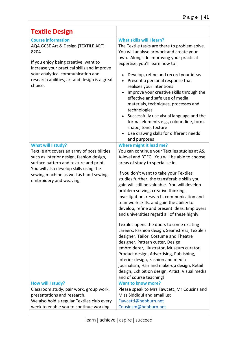| <b>Textile Design</b>                                                                                                                                                                                                                                                   |                                                                                                                                                                                                                                                                                                                                                                                                                                                                                                                                                                                                                                                                                                                                                                                                                                                                                                                                                                                   |
|-------------------------------------------------------------------------------------------------------------------------------------------------------------------------------------------------------------------------------------------------------------------------|-----------------------------------------------------------------------------------------------------------------------------------------------------------------------------------------------------------------------------------------------------------------------------------------------------------------------------------------------------------------------------------------------------------------------------------------------------------------------------------------------------------------------------------------------------------------------------------------------------------------------------------------------------------------------------------------------------------------------------------------------------------------------------------------------------------------------------------------------------------------------------------------------------------------------------------------------------------------------------------|
| <b>Course information</b><br>AQA GCSE Art & Design (TEXTILE ART)<br>8204<br>If you enjoy being creative, want to<br>increase your practical skills and improve<br>your analytical communication and<br>research abilities, art and design is a great<br>choice.         | What skills will I learn?<br>The Textile tasks are there to problem solve.<br>You will analyse artwork and create your<br>own. Alongside improving your practical<br>expertise, you'll learn how to:<br>Develop, refine and record your ideas<br>Present a personal response that<br>$\bullet$<br>realises your intentions<br>Improve your creative skills through the<br>effective and safe use of media,<br>materials, techniques, processes and<br>technologies<br>Successfully use visual language and the<br>formal elements e.g., colour, line, form,<br>shape, tone, texture<br>Use drawing skills for different needs<br>$\bullet$<br>and purposes                                                                                                                                                                                                                                                                                                                        |
| What will I study?<br>Textile art covers an array of possibilities<br>such as interior design, fashion design,<br>surface pattern and texture and print.<br>You will also develop skills using the<br>sewing machine as well as hand sewing,<br>embroidery and weaving. | Where might it lead me?<br>You can continue your Textiles studies at AS,<br>A-level and BTEC. You will be able to choose<br>areas of study to specialise in.<br>If you don't want to take your Textiles<br>studies further, the transferable skills you<br>gain will still be valuable. You will develop<br>problem solving, creative thinking,<br>investigation, research, communication and<br>teamwork skills, and gain the ability to<br>develop, refine and present ideas. Employers<br>and universities regard all of these highly.<br>Textiles opens the doors to some exciting<br>careers: Fashion design, Seamstress, Textile's<br>designer, Tailor, Costume and Theatre<br>designer, Pattern cutter, Design<br>embroiderer, Illustrator, Museum curator,<br>Product design, Advertising, Publishing,<br>Interior design, Fashion and media<br>journalism, Hair and make-up design, Retail<br>design, Exhibition design, Artist, Visual media<br>and of course teaching! |
| How will I study?<br>Classroom study, pair work, group work,<br>presentations and research.<br>We also hold a regular Textiles club every<br>week to enable you to continue working                                                                                     | <b>Want to know more?</b><br>Please speak to Mrs Fawcett, Mr Cousins and<br>Miss Siddiqui and email us:<br>Fawcettl@hebburn.net<br>Cousinsm@hebburn.net                                                                                                                                                                                                                                                                                                                                                                                                                                                                                                                                                                                                                                                                                                                                                                                                                           |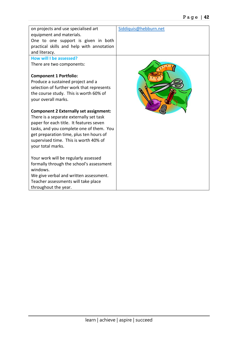| on projects and use specialised art<br>equipment and materials.<br>One to one support is given in both<br>practical skills and help with annotation<br>and literacy. | Siddiquis@hebburn.net |
|----------------------------------------------------------------------------------------------------------------------------------------------------------------------|-----------------------|
| How will I be assessed?                                                                                                                                              |                       |
| There are two components:                                                                                                                                            |                       |
| <b>Component 1 Portfolio:</b>                                                                                                                                        |                       |
| Produce a sustained project and a                                                                                                                                    |                       |
| selection of further work that represents                                                                                                                            |                       |
| the course study. This is worth 60% of                                                                                                                               |                       |
| your overall marks.                                                                                                                                                  |                       |
|                                                                                                                                                                      |                       |
| <b>Component 2 Externally set assignment:</b>                                                                                                                        |                       |
| There is a separate externally set task                                                                                                                              |                       |
| paper for each title. It features seven                                                                                                                              |                       |
| tasks, and you complete one of them. You                                                                                                                             |                       |
| get preparation time, plus ten hours of                                                                                                                              |                       |
| supervised time. This is worth 40% of                                                                                                                                |                       |
| your total marks.                                                                                                                                                    |                       |
| Your work will be regularly assessed                                                                                                                                 |                       |
| formally through the school's assessment<br>windows.                                                                                                                 |                       |
| We give verbal and written assessment.                                                                                                                               |                       |
| Teacher assessments will take place                                                                                                                                  |                       |
| throughout the year.                                                                                                                                                 |                       |
|                                                                                                                                                                      |                       |